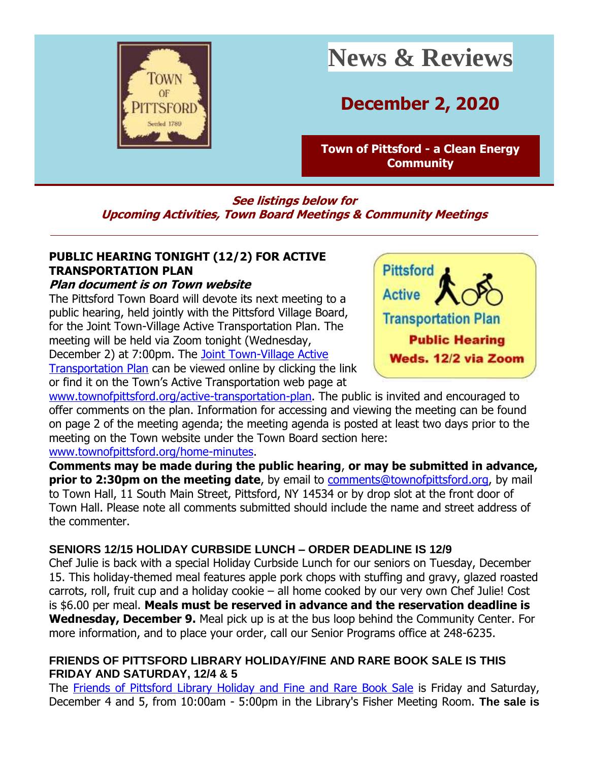

# **News & Reviews**

## **December 2, 2020**

**[Town of Pittsford -](http://r20.rs6.net/tn.jsp?f=001UVSw1SU8O87btK36eitaH-lZdzlYUXwdT2x8Ph2oDOSuQAiQTx5rF35t8oiPjuDPiLJ4qWgOj-yrcaAR-pyNeaa-uzb9zkJF0v8tFK24cG_dgLwwoXpJz68WA2xiup4HW68Mwdwito6fgiWI8QrzkI0gIIb0fMFi&c=QUmWnDdr8uouVPQQo6LE6Z0iN08MYpDI9ngI0BJcptuOOvUADtLFfg==&ch=ZVAlroS6st7y5fXVgwsvXcBQE9xk-q-7jEsQXKT7k97lQziM9Dh8Iw==) a Clean Energy [Community](http://r20.rs6.net/tn.jsp?f=001UVSw1SU8O87btK36eitaH-lZdzlYUXwdT2x8Ph2oDOSuQAiQTx5rF35t8oiPjuDPiLJ4qWgOj-yrcaAR-pyNeaa-uzb9zkJF0v8tFK24cG_dgLwwoXpJz68WA2xiup4HW68Mwdwito6fgiWI8QrzkI0gIIb0fMFi&c=QUmWnDdr8uouVPQQo6LE6Z0iN08MYpDI9ngI0BJcptuOOvUADtLFfg==&ch=ZVAlroS6st7y5fXVgwsvXcBQE9xk-q-7jEsQXKT7k97lQziM9Dh8Iw==)**

#### **See listings below for Upcoming Activities, Town Board Meetings & Community Meetings**

### **PUBLIC HEARING TONIGHT (12/2) FOR ACTIVE TRANSPORTATION PLAN**

#### **Plan document is on Town website**

The Pittsford Town Board will devote its next meeting to a public hearing, held jointly with the Pittsford Village Board, for the Joint Town-Village Active Transportation Plan. The meeting will be held via Zoom tonight (Wednesday, December 2) at 7:00pm. The [Joint Town-Village Active](http://r20.rs6.net/tn.jsp?f=001UVSw1SU8O87btK36eitaH-lZdzlYUXwdT2x8Ph2oDOSuQAiQTx5rF6GULIlAAMOnK9i0DMOT23kWIqsds5OCMlbcczU21rnSsu4DValW3uYTuu4JSBzYTdG3slm0vrCjxOUh1P86gnBUn_uUjZA0XVxe0d41eASC97rEmmEVbuS4plAikUUACm582Z7ehf3hl0Vru6c41rIZCVyvHm-cZmXP7sFytgJZrCV1I3Em2_nxhQW5iGjjhtjnPGy1M6bWdIrk2yRl7pZaYrNWvkpOaXkGe5aWcVm1Pq_MNy22JKk=&c=QUmWnDdr8uouVPQQo6LE6Z0iN08MYpDI9ngI0BJcptuOOvUADtLFfg==&ch=ZVAlroS6st7y5fXVgwsvXcBQE9xk-q-7jEsQXKT7k97lQziM9Dh8Iw==) 

[Transportation Plan](http://r20.rs6.net/tn.jsp?f=001UVSw1SU8O87btK36eitaH-lZdzlYUXwdT2x8Ph2oDOSuQAiQTx5rF6GULIlAAMOnK9i0DMOT23kWIqsds5OCMlbcczU21rnSsu4DValW3uYTuu4JSBzYTdG3slm0vrCjxOUh1P86gnBUn_uUjZA0XVxe0d41eASC97rEmmEVbuS4plAikUUACm582Z7ehf3hl0Vru6c41rIZCVyvHm-cZmXP7sFytgJZrCV1I3Em2_nxhQW5iGjjhtjnPGy1M6bWdIrk2yRl7pZaYrNWvkpOaXkGe5aWcVm1Pq_MNy22JKk=&c=QUmWnDdr8uouVPQQo6LE6Z0iN08MYpDI9ngI0BJcptuOOvUADtLFfg==&ch=ZVAlroS6st7y5fXVgwsvXcBQE9xk-q-7jEsQXKT7k97lQziM9Dh8Iw==) can be viewed online by clicking the link or find it on the Town's Active Transportation web page at



[www.townofpittsford.org/active-transportation-plan.](http://r20.rs6.net/tn.jsp?f=001UVSw1SU8O87btK36eitaH-lZdzlYUXwdT2x8Ph2oDOSuQAiQTx5rF6GULIlAAMOn5jYEL4Gp8Hx_dIlmDJl0Zb23zy0gxsZnVCEusQTZ-jSQgsu7GDfyxtMaMZCvK6uDSzbUV7wQuWQ1aeTnFo1WQ6NXVaeY4z7I9XtEU9LfZmJWL634HhASq_NbI2u9_nZ6&c=QUmWnDdr8uouVPQQo6LE6Z0iN08MYpDI9ngI0BJcptuOOvUADtLFfg==&ch=ZVAlroS6st7y5fXVgwsvXcBQE9xk-q-7jEsQXKT7k97lQziM9Dh8Iw==) The public is invited and encouraged to offer comments on the plan. Information for accessing and viewing the meeting can be found on page 2 of the meeting agenda; the meeting agenda is posted at least two days prior to the meeting on the Town website under the Town Board section here: [www.townofpittsford.org/home-minutes.](http://r20.rs6.net/tn.jsp?f=001UVSw1SU8O87btK36eitaH-lZdzlYUXwdT2x8Ph2oDOSuQAiQTx5rF4OBXJn-ndfK_aaMOKvu3dB9uFuS1VKKkLxd-Syv5m29NQZlC72J0TWr_fMl-TITaac2qC1VQW1bu36sHRea2KIbtUkbwv4OjN5_Tki4uKKtTAdeeuRQxL4=&c=QUmWnDdr8uouVPQQo6LE6Z0iN08MYpDI9ngI0BJcptuOOvUADtLFfg==&ch=ZVAlroS6st7y5fXVgwsvXcBQE9xk-q-7jEsQXKT7k97lQziM9Dh8Iw==)

**Comments may be made during the public hearing**, **or may be submitted in advance, prior to 2:30pm on the meeting date**, by email to [comments@townofpittsford.org,](mailto:comments@townofpittsford.org) by mail to Town Hall, 11 South Main Street, Pittsford, NY 14534 or by drop slot at the front door of Town Hall. Please note all comments submitted should include the name and street address of the commenter.

#### **SENIORS 12/15 HOLIDAY CURBSIDE LUNCH – ORDER DEADLINE IS 12/9**

Chef Julie is back with a special Holiday Curbside Lunch for our seniors on Tuesday, December 15. This holiday-themed meal features apple pork chops with stuffing and gravy, glazed roasted carrots, roll, fruit cup and a holiday cookie – all home cooked by our very own Chef Julie! Cost is \$6.00 per meal. **Meals must be reserved in advance and the reservation deadline is Wednesday, December 9.** Meal pick up is at the bus loop behind the Community Center. For more information, and to place your order, call our Senior Programs office at 248-6235.

#### **FRIENDS OF PITTSFORD LIBRARY HOLIDAY/FINE AND RARE BOOK SALE IS THIS FRIDAY AND SATURDAY, 12/4 & 5**

The [Friends of Pittsford Library Holiday and Fine and Rare Book Sale](http://r20.rs6.net/tn.jsp?f=001UVSw1SU8O87btK36eitaH-lZdzlYUXwdT2x8Ph2oDOSuQAiQTx5rF9kYF7lPRIpXEbIPNhmhDZMb9LcvfdGKEZ8sw4eNO67XkfscdZQ385qS_CbLNo0Tvze0J9ZzyKzAYr3EPVCKWQRB40Vv9IjsdHJ-kBdb2gub&c=QUmWnDdr8uouVPQQo6LE6Z0iN08MYpDI9ngI0BJcptuOOvUADtLFfg==&ch=ZVAlroS6st7y5fXVgwsvXcBQE9xk-q-7jEsQXKT7k97lQziM9Dh8Iw==) is Friday and Saturday, December 4 and 5, from 10:00am - 5:00pm in the Library's Fisher Meeting Room. **The sale is**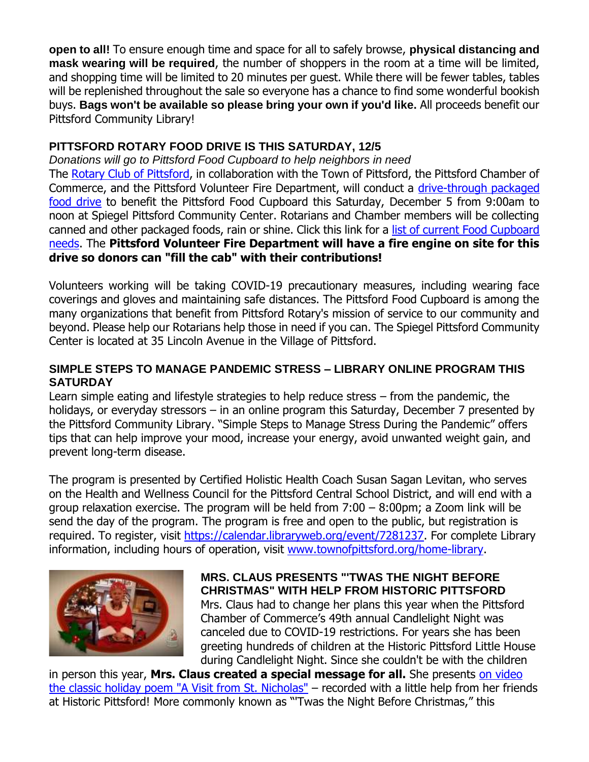**open to all!** To ensure enough time and space for all to safely browse, **physical distancing and mask wearing will be required**, the number of shoppers in the room at a time will be limited, and shopping time will be limited to 20 minutes per guest. While there will be fewer tables, tables will be replenished throughout the sale so everyone has a chance to find some wonderful bookish buys. **Bags won't be available so please bring your own if you'd like.** All proceeds benefit our Pittsford Community Library!

#### **PITTSFORD ROTARY FOOD DRIVE IS THIS SATURDAY, 12/5**

*Donations will go to Pittsford Food Cupboard to help neighbors in need* The [Rotary Club of Pittsford,](http://r20.rs6.net/tn.jsp?f=001UVSw1SU8O87btK36eitaH-lZdzlYUXwdT2x8Ph2oDOSuQAiQTx5rF8LNXpVW1fzq8yRQQX7SAAL9jNGSs4rRn1HAiYmgez1zI8gg2Ky-fVZAc8yVL-YicFRtau7Cqx4AyL_kFQRQvFPft_lwFo65ThUaocrUJge_&c=QUmWnDdr8uouVPQQo6LE6Z0iN08MYpDI9ngI0BJcptuOOvUADtLFfg==&ch=ZVAlroS6st7y5fXVgwsvXcBQE9xk-q-7jEsQXKT7k97lQziM9Dh8Iw==) in collaboration with the Town of Pittsford, the Pittsford Chamber of Commerce, and the Pittsford Volunteer Fire Department, will conduct a [drive-through packaged](http://r20.rs6.net/tn.jsp?f=001UVSw1SU8O87btK36eitaH-lZdzlYUXwdT2x8Ph2oDOSuQAiQTx5rF1S6n4uhALsi9_Y3PXmtAlvdQvJAKSWZ1YPAg-DYROawKJXwDf0uBVaZsH3DCafyFGUFf2jlG6DT8h9GVCF7i_u5vRmCzhZ7ERkmqqKjNgmEHLOjb2gMAsfkAxMxSTqwJ7zdFbsWsxbrGpSO-RyK6GLCj-b9wgK_YauXUUEIWnFBENRZg0ZyuQkDBLYLy25Q7w==&c=QUmWnDdr8uouVPQQo6LE6Z0iN08MYpDI9ngI0BJcptuOOvUADtLFfg==&ch=ZVAlroS6st7y5fXVgwsvXcBQE9xk-q-7jEsQXKT7k97lQziM9Dh8Iw==)  [food drive](http://r20.rs6.net/tn.jsp?f=001UVSw1SU8O87btK36eitaH-lZdzlYUXwdT2x8Ph2oDOSuQAiQTx5rF1S6n4uhALsi9_Y3PXmtAlvdQvJAKSWZ1YPAg-DYROawKJXwDf0uBVaZsH3DCafyFGUFf2jlG6DT8h9GVCF7i_u5vRmCzhZ7ERkmqqKjNgmEHLOjb2gMAsfkAxMxSTqwJ7zdFbsWsxbrGpSO-RyK6GLCj-b9wgK_YauXUUEIWnFBENRZg0ZyuQkDBLYLy25Q7w==&c=QUmWnDdr8uouVPQQo6LE6Z0iN08MYpDI9ngI0BJcptuOOvUADtLFfg==&ch=ZVAlroS6st7y5fXVgwsvXcBQE9xk-q-7jEsQXKT7k97lQziM9Dh8Iw==) to benefit the Pittsford Food Cupboard this Saturday, December 5 from 9:00am to noon at Spiegel Pittsford Community Center. Rotarians and Chamber members will be collecting canned and other packaged foods, rain or shine. Click this link for a list of current Food Cupboard [needs.](http://r20.rs6.net/tn.jsp?f=001UVSw1SU8O87btK36eitaH-lZdzlYUXwdT2x8Ph2oDOSuQAiQTx5rF6GULIlAAMOnBkdBGFuUvG8zrlRyTvs-p_AzW7FkMzwzD9qd6fjvyD7oR8sKAnRkhj7uRm58sw3k0DbrYvjYA59K90bshXOsF9IaKdbRrtrs4GRB7XzFQPr3gg_C8QI86KlnNAk_JwUo&c=QUmWnDdr8uouVPQQo6LE6Z0iN08MYpDI9ngI0BJcptuOOvUADtLFfg==&ch=ZVAlroS6st7y5fXVgwsvXcBQE9xk-q-7jEsQXKT7k97lQziM9Dh8Iw==) The **Pittsford Volunteer Fire Department will have a fire engine on site for this drive so donors can "fill the cab" with their contributions!**

Volunteers working will be taking COVID-19 precautionary measures, including wearing face coverings and gloves and maintaining safe distances. The Pittsford Food Cupboard is among the many organizations that benefit from Pittsford Rotary's mission of service to our community and beyond. Please help our Rotarians help those in need if you can. The Spiegel Pittsford Community Center is located at 35 Lincoln Avenue in the Village of Pittsford.

#### **SIMPLE STEPS TO MANAGE PANDEMIC STRESS – LIBRARY ONLINE PROGRAM THIS SATURDAY**

Learn simple eating and lifestyle strategies to help reduce stress – from the pandemic, the holidays, or everyday stressors – in an online program this Saturday, December 7 presented by the Pittsford Community Library. "Simple Steps to Manage Stress During the Pandemic" offers tips that can help improve your mood, increase your energy, avoid unwanted weight gain, and prevent long-term disease.

The program is presented by Certified Holistic Health Coach Susan Sagan Levitan, who serves on the Health and Wellness Council for the Pittsford Central School District, and will end with a group relaxation exercise. The program will be held from 7:00 – 8:00pm; a Zoom link will be send the day of the program. The program is free and open to the public, but registration is required. To register, visit [https://calendar.libraryweb.org/event/7281237.](http://r20.rs6.net/tn.jsp?f=001UVSw1SU8O87btK36eitaH-lZdzlYUXwdT2x8Ph2oDOSuQAiQTx5rFzFGVgboMZxE-t_PnJWp5TZGd0LRNc6N9dw9vI8MmVVEm6GYmr_bJWLSKDAkAoTQnm-3rIk1K51icTVjHMDr2WIxWj65Lzf6ByKVVfEv5NiEE2FxVh4RxlJWJZj0r4iNHA==&c=QUmWnDdr8uouVPQQo6LE6Z0iN08MYpDI9ngI0BJcptuOOvUADtLFfg==&ch=ZVAlroS6st7y5fXVgwsvXcBQE9xk-q-7jEsQXKT7k97lQziM9Dh8Iw==) For complete Library information, including hours of operation, visit [www.townofpittsford.org/home-library.](http://r20.rs6.net/tn.jsp?f=001UVSw1SU8O87btK36eitaH-lZdzlYUXwdT2x8Ph2oDOSuQAiQTx5rF5lHDdPFv50Z9R7zY3roXymG85PZRCbuKcATms7MRIcCc6_zSL0hquEz8w6OD4A60Y-rdXCXSgt8YMUiOB5W3-ngvSZN_JwpJbfCrN_Nrj7uA6ZB8UyVadM=&c=QUmWnDdr8uouVPQQo6LE6Z0iN08MYpDI9ngI0BJcptuOOvUADtLFfg==&ch=ZVAlroS6st7y5fXVgwsvXcBQE9xk-q-7jEsQXKT7k97lQziM9Dh8Iw==)



#### **MRS. CLAUS PRESENTS "'TWAS THE NIGHT BEFORE CHRISTMAS" WITH HELP FROM HISTORIC PITTSFORD** Mrs. Claus had to change her plans this year when the Pittsford Chamber of Commerce's 49th annual Candlelight Night was canceled due to COVID-19 restrictions. For years she has been greeting hundreds of children at the Historic Pittsford Little House during Candlelight Night. Since she couldn't be with the children

in person this year, **Mrs. Claus created a special message for all.** She presents [on video](http://r20.rs6.net/tn.jsp?f=001UVSw1SU8O87btK36eitaH-lZdzlYUXwdT2x8Ph2oDOSuQAiQTx5rFzFGVgboMZxEdoTmOdmfgSWjIryjhu2EG7rtRRyfMlZGbtShqW4AzEjb7lJAVRTxbpfMVPZTlgEUpU_OzRxFrwtdtHR7w2y-jMRENJomlmHclANdvbf3YOc=&c=QUmWnDdr8uouVPQQo6LE6Z0iN08MYpDI9ngI0BJcptuOOvUADtLFfg==&ch=ZVAlroS6st7y5fXVgwsvXcBQE9xk-q-7jEsQXKT7k97lQziM9Dh8Iw==)  [the classic holiday poem "A Visit from St. Nicholas"](http://r20.rs6.net/tn.jsp?f=001UVSw1SU8O87btK36eitaH-lZdzlYUXwdT2x8Ph2oDOSuQAiQTx5rFzFGVgboMZxEdoTmOdmfgSWjIryjhu2EG7rtRRyfMlZGbtShqW4AzEjb7lJAVRTxbpfMVPZTlgEUpU_OzRxFrwtdtHR7w2y-jMRENJomlmHclANdvbf3YOc=&c=QUmWnDdr8uouVPQQo6LE6Z0iN08MYpDI9ngI0BJcptuOOvUADtLFfg==&ch=ZVAlroS6st7y5fXVgwsvXcBQE9xk-q-7jEsQXKT7k97lQziM9Dh8Iw==) – recorded with a little help from her friends at Historic Pittsford! More commonly known as "'Twas the Night Before Christmas," this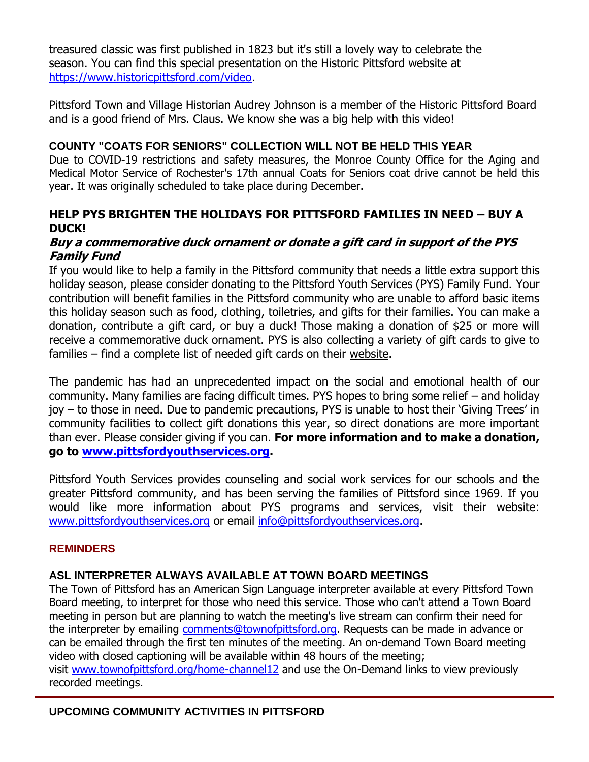treasured classic was first published in 1823 but it's still a lovely way to celebrate the season. You can find this special presentation on the Historic Pittsford website at [https://www.historicpittsford.com/video.](http://r20.rs6.net/tn.jsp?f=001UVSw1SU8O87btK36eitaH-lZdzlYUXwdT2x8Ph2oDOSuQAiQTx5rFzFGVgboMZxEdoTmOdmfgSWjIryjhu2EG7rtRRyfMlZGbtShqW4AzEjb7lJAVRTxbpfMVPZTlgEUpU_OzRxFrwtdtHR7w2y-jMRENJomlmHclANdvbf3YOc=&c=QUmWnDdr8uouVPQQo6LE6Z0iN08MYpDI9ngI0BJcptuOOvUADtLFfg==&ch=ZVAlroS6st7y5fXVgwsvXcBQE9xk-q-7jEsQXKT7k97lQziM9Dh8Iw==)

Pittsford Town and Village Historian Audrey Johnson is a member of the Historic Pittsford Board and is a good friend of Mrs. Claus. We know she was a big help with this video!

#### **COUNTY "COATS FOR SENIORS" COLLECTION WILL NOT BE HELD THIS YEAR**

Due to COVID-19 restrictions and safety measures, the Monroe County Office for the Aging and Medical Motor Service of Rochester's 17th annual Coats for Seniors coat drive cannot be held this year. It was originally scheduled to take place during December.

#### **HELP PYS BRIGHTEN THE HOLIDAYS FOR PITTSFORD FAMILIES IN NEED – BUY A DUCK!**

#### **Buy a commemorative duck ornament or donate a gift card in support of the PYS Family Fund**

If you would like to help a family in the Pittsford community that needs a little extra support this holiday season, please consider donating to the Pittsford Youth Services (PYS) Family Fund. Your contribution will benefit families in the Pittsford community who are unable to afford basic items this holiday season such as food, clothing, toiletries, and gifts for their families. You can make a donation, contribute a gift card, or buy a duck! Those making a donation of \$25 or more will receive a commemorative duck ornament. PYS is also collecting a variety of gift cards to give to families – find a complete list of needed gift cards on their [website.](http://r20.rs6.net/tn.jsp?f=001UVSw1SU8O87btK36eitaH-lZdzlYUXwdT2x8Ph2oDOSuQAiQTx5rF-rM7FbkfXlG6pmWU3_HAlhEWQHnSfZ8Nhfsw_HhVAiz2Yra82hRT0PxGPjbYG5iWiXUuNpIlmF0SN1TIZzAiz4SymWp4O2m5_9MHE2OSTi2OlaDR25PNqA=&c=QUmWnDdr8uouVPQQo6LE6Z0iN08MYpDI9ngI0BJcptuOOvUADtLFfg==&ch=ZVAlroS6st7y5fXVgwsvXcBQE9xk-q-7jEsQXKT7k97lQziM9Dh8Iw==)

The pandemic has had an unprecedented impact on the social and emotional health of our community. Many families are facing difficult times. PYS hopes to bring some relief – and holiday joy – to those in need. Due to pandemic precautions, PYS is unable to host their 'Giving Trees' in community facilities to collect gift donations this year, so direct donations are more important than ever. Please consider giving if you can. **For more information and to make a donation, go to [www.pittsfordyouthservices.org.](http://r20.rs6.net/tn.jsp?f=001UVSw1SU8O87btK36eitaH-lZdzlYUXwdT2x8Ph2oDOSuQAiQTx5rF-rM7FbkfXlG6pmWU3_HAlhEWQHnSfZ8Nhfsw_HhVAiz2Yra82hRT0PxGPjbYG5iWiXUuNpIlmF0SN1TIZzAiz4SymWp4O2m5_9MHE2OSTi2OlaDR25PNqA=&c=QUmWnDdr8uouVPQQo6LE6Z0iN08MYpDI9ngI0BJcptuOOvUADtLFfg==&ch=ZVAlroS6st7y5fXVgwsvXcBQE9xk-q-7jEsQXKT7k97lQziM9Dh8Iw==)** 

Pittsford Youth Services provides counseling and social work services for our schools and the greater Pittsford community, and has been serving the families of Pittsford since 1969. If you would like more information about PYS programs and services, visit their website: [www.pittsfordyouthservices.org](http://r20.rs6.net/tn.jsp?f=001UVSw1SU8O87btK36eitaH-lZdzlYUXwdT2x8Ph2oDOSuQAiQTx5rF-rM7FbkfXlG6pmWU3_HAlhEWQHnSfZ8Nhfsw_HhVAiz2Yra82hRT0PxGPjbYG5iWiXUuNpIlmF0SN1TIZzAiz4SymWp4O2m5_9MHE2OSTi2OlaDR25PNqA=&c=QUmWnDdr8uouVPQQo6LE6Z0iN08MYpDI9ngI0BJcptuOOvUADtLFfg==&ch=ZVAlroS6st7y5fXVgwsvXcBQE9xk-q-7jEsQXKT7k97lQziM9Dh8Iw==) or email [info@pittsfordyouthservices.org.](mailto:info@pittsfordyouthservices.org?subject=PYS%20Giving%20Tree%20donation)

#### **REMINDERS**

#### **ASL INTERPRETER ALWAYS AVAILABLE AT TOWN BOARD MEETINGS**

The Town of Pittsford has an American Sign Language interpreter available at every Pittsford Town Board meeting, to interpret for those who need this service. Those who can't attend a Town Board meeting in person but are planning to watch the meeting's live stream can confirm their need for the interpreter by emailing [comments@townofpittsford.org.](mailto:comments@townofpittsford.org?subject=ASL%20interperter%20request%20for%20Town%20Board%20meeting) Requests can be made in advance or can be emailed through the first ten minutes of the meeting. An on-demand Town Board meeting video with closed captioning will be available within 48 hours of the meeting; visit [www.townofpittsford.org/home-channel12](http://r20.rs6.net/tn.jsp?f=001UVSw1SU8O87btK36eitaH-lZdzlYUXwdT2x8Ph2oDOSuQAiQTx5rFwqhkGvXM9JXjSqGDHVf5QUanyFil8bQPFLZaoa9Sxc4YrdOXqOctL7ffwEJDgjurqBWrLYBsV4EqCLFZuH3nYX8c00UkOiiaJb4heQ0GZkSRaHa_ztjz1I=&c=QUmWnDdr8uouVPQQo6LE6Z0iN08MYpDI9ngI0BJcptuOOvUADtLFfg==&ch=ZVAlroS6st7y5fXVgwsvXcBQE9xk-q-7jEsQXKT7k97lQziM9Dh8Iw==) and use the On-Demand links to view previously

recorded meetings.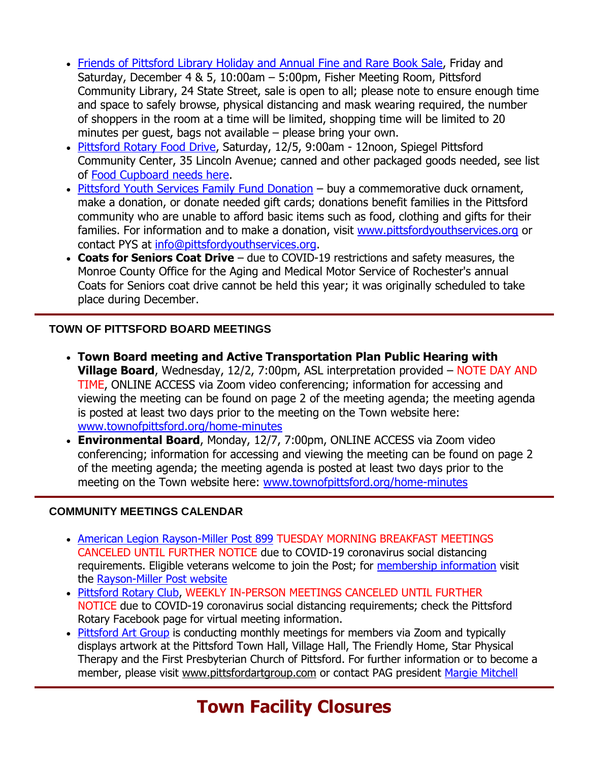- [Friends of Pittsford Library Holiday and Annual Fine and Rare Book Sale,](http://r20.rs6.net/tn.jsp?f=001UVSw1SU8O87btK36eitaH-lZdzlYUXwdT2x8Ph2oDOSuQAiQTx5rF9kYF7lPRIpXEbIPNhmhDZMb9LcvfdGKEZ8sw4eNO67XkfscdZQ385qS_CbLNo0Tvze0J9ZzyKzAYr3EPVCKWQRB40Vv9IjsdHJ-kBdb2gub&c=QUmWnDdr8uouVPQQo6LE6Z0iN08MYpDI9ngI0BJcptuOOvUADtLFfg==&ch=ZVAlroS6st7y5fXVgwsvXcBQE9xk-q-7jEsQXKT7k97lQziM9Dh8Iw==) Friday and Saturday, December 4 & 5, 10:00am – 5:00pm, Fisher Meeting Room, Pittsford Community Library, 24 State Street, sale is open to all; please note to ensure enough time and space to safely browse, physical distancing and mask wearing required, the number of shoppers in the room at a time will be limited, shopping time will be limited to 20 minutes per guest, bags not available – please bring your own.
- [Pittsford Rotary Food Drive,](http://r20.rs6.net/tn.jsp?f=001UVSw1SU8O87btK36eitaH-lZdzlYUXwdT2x8Ph2oDOSuQAiQTx5rF1S6n4uhALsi9_Y3PXmtAlvdQvJAKSWZ1YPAg-DYROawKJXwDf0uBVaZsH3DCafyFGUFf2jlG6DT8h9GVCF7i_u5vRmCzhZ7ERkmqqKjNgmEHLOjb2gMAsfkAxMxSTqwJ7zdFbsWsxbrGpSO-RyK6GLCj-b9wgK_YauXUUEIWnFBENRZg0ZyuQkDBLYLy25Q7w==&c=QUmWnDdr8uouVPQQo6LE6Z0iN08MYpDI9ngI0BJcptuOOvUADtLFfg==&ch=ZVAlroS6st7y5fXVgwsvXcBQE9xk-q-7jEsQXKT7k97lQziM9Dh8Iw==) Saturday, 12/5, 9:00am 12noon, Spiegel Pittsford Community Center, 35 Lincoln Avenue; canned and other packaged goods needed, see list of [Food Cupboard needs here.](http://r20.rs6.net/tn.jsp?f=001UVSw1SU8O87btK36eitaH-lZdzlYUXwdT2x8Ph2oDOSuQAiQTx5rF6GULIlAAMOnBkdBGFuUvG8zrlRyTvs-p_AzW7FkMzwzD9qd6fjvyD7oR8sKAnRkhj7uRm58sw3k0DbrYvjYA59K90bshXOsF9IaKdbRrtrs4GRB7XzFQPr3gg_C8QI86KlnNAk_JwUo&c=QUmWnDdr8uouVPQQo6LE6Z0iN08MYpDI9ngI0BJcptuOOvUADtLFfg==&ch=ZVAlroS6st7y5fXVgwsvXcBQE9xk-q-7jEsQXKT7k97lQziM9Dh8Iw==)
- [Pittsford Youth Services Family Fund Donation](http://r20.rs6.net/tn.jsp?f=001UVSw1SU8O87btK36eitaH-lZdzlYUXwdT2x8Ph2oDOSuQAiQTx5rF13_lzdPxhWXnYenKjzuDMZkcBOCpJ2HVJstc8FoyvA2Vs7SEkC2POpoDbevZxVVGkh-1L3rGUu8UA-prBlJQTg-IpO7NIutPYCK_VxyRRvu&c=QUmWnDdr8uouVPQQo6LE6Z0iN08MYpDI9ngI0BJcptuOOvUADtLFfg==&ch=ZVAlroS6st7y5fXVgwsvXcBQE9xk-q-7jEsQXKT7k97lQziM9Dh8Iw==) buy a commemorative duck ornament, make a donation, or donate needed gift cards; donations benefit families in the Pittsford community who are unable to afford basic items such as food, clothing and gifts for their families. For information and to make a donation, visit [www.pittsfordyouthservices.org](http://r20.rs6.net/tn.jsp?f=001UVSw1SU8O87btK36eitaH-lZdzlYUXwdT2x8Ph2oDOSuQAiQTx5rF-rM7FbkfXlG6pmWU3_HAlhEWQHnSfZ8Nhfsw_HhVAiz2Yra82hRT0PxGPjbYG5iWiXUuNpIlmF0SN1TIZzAiz4SymWp4O2m5_9MHE2OSTi2OlaDR25PNqA=&c=QUmWnDdr8uouVPQQo6LE6Z0iN08MYpDI9ngI0BJcptuOOvUADtLFfg==&ch=ZVAlroS6st7y5fXVgwsvXcBQE9xk-q-7jEsQXKT7k97lQziM9Dh8Iw==) or contact PYS at [info@pittsfordyouthservices.org.](mailto:info@pittsfordyouthservices.org?subject=PYS%20Giving%20Tree%20donation)
- **Coats for Seniors Coat Drive** due to COVID-19 restrictions and safety measures, the Monroe County Office for the Aging and Medical Motor Service of Rochester's annual Coats for Seniors coat drive cannot be held this year; it was originally scheduled to take place during December.

#### **TOWN OF PITTSFORD BOARD MEETINGS**

- **Town Board meeting and Active Transportation Plan Public Hearing with Village Board**, Wednesday, 12/2, 7:00pm, ASL interpretation provided – NOTE DAY AND TIME, ONLINE ACCESS via Zoom video conferencing; information for accessing and viewing the meeting can be found on page 2 of the meeting agenda; the meeting agenda is posted at least two days prior to the meeting on the Town website here: [www.townofpittsford.org/home-minutes](http://r20.rs6.net/tn.jsp?f=001UVSw1SU8O87btK36eitaH-lZdzlYUXwdT2x8Ph2oDOSuQAiQTx5rF4OBXJn-ndfK_aaMOKvu3dB9uFuS1VKKkLxd-Syv5m29NQZlC72J0TWr_fMl-TITaac2qC1VQW1bu36sHRea2KIbtUkbwv4OjN5_Tki4uKKtTAdeeuRQxL4=&c=QUmWnDdr8uouVPQQo6LE6Z0iN08MYpDI9ngI0BJcptuOOvUADtLFfg==&ch=ZVAlroS6st7y5fXVgwsvXcBQE9xk-q-7jEsQXKT7k97lQziM9Dh8Iw==)
- **Environmental Board**, Monday, 12/7, 7:00pm, ONLINE ACCESS via Zoom video conferencing; information for accessing and viewing the meeting can be found on page 2 of the meeting agenda; the meeting agenda is posted at least two days prior to the meeting on the Town website here: [www.townofpittsford.org/home-minutes](http://r20.rs6.net/tn.jsp?f=001UVSw1SU8O87btK36eitaH-lZdzlYUXwdT2x8Ph2oDOSuQAiQTx5rF4OBXJn-ndfK_aaMOKvu3dB9uFuS1VKKkLxd-Syv5m29NQZlC72J0TWr_fMl-TITaac2qC1VQW1bu36sHRea2KIbtUkbwv4OjN5_Tki4uKKtTAdeeuRQxL4=&c=QUmWnDdr8uouVPQQo6LE6Z0iN08MYpDI9ngI0BJcptuOOvUADtLFfg==&ch=ZVAlroS6st7y5fXVgwsvXcBQE9xk-q-7jEsQXKT7k97lQziM9Dh8Iw==)

#### **COMMUNITY MEETINGS CALENDAR**

- [American Legion Rayson-Miller Post 899](http://r20.rs6.net/tn.jsp?f=001UVSw1SU8O87btK36eitaH-lZdzlYUXwdT2x8Ph2oDOSuQAiQTx5rF9kYF7lPRIpX6H3CzuM3NwCgkue-kJxWsUm-dT3u_2OQsqdwuiznSub75FM4hceYO8yfXLmmQcBZQIok4UPdYqMD1Ik9-NMdw4vnrsTdvN4Q&c=QUmWnDdr8uouVPQQo6LE6Z0iN08MYpDI9ngI0BJcptuOOvUADtLFfg==&ch=ZVAlroS6st7y5fXVgwsvXcBQE9xk-q-7jEsQXKT7k97lQziM9Dh8Iw==) TUESDAY MORNING BREAKFAST MEETINGS CANCELED UNTIL FURTHER NOTICE due to COVID-19 coronavirus social distancing requirements. Eligible veterans welcome to join the Post; for [membership information](http://r20.rs6.net/tn.jsp?f=001UVSw1SU8O87btK36eitaH-lZdzlYUXwdT2x8Ph2oDOSuQAiQTx5rF9kYF7lPRIpXWZXvx98ZcUKU47shrG8WlzpX05diMbfMLwXDRipWktVZ0Y4nT1HQWzsSOdiwi7GmMN_PZ7228RlHLkmkHjTBOzUv64ap4gcdz3TDSkWe4Wd0IBLhRrPbkVWMMEZlvrX8&c=QUmWnDdr8uouVPQQo6LE6Z0iN08MYpDI9ngI0BJcptuOOvUADtLFfg==&ch=ZVAlroS6st7y5fXVgwsvXcBQE9xk-q-7jEsQXKT7k97lQziM9Dh8Iw==) visit the [Rayson-Miller Post website](http://r20.rs6.net/tn.jsp?f=001UVSw1SU8O87btK36eitaH-lZdzlYUXwdT2x8Ph2oDOSuQAiQTx5rF6s4IT5S-mUF0rDac4tH_3H5-EISBpeeh9Ifa4qfnYW7CeJGZ7f0DJahfQqgNZeyqZFtB4PGvG6KRFjQLJ34tM6ru3AUO4QCeLE25QigH_ATVPsWs3Fj02ILpi_JyDddxlixG8oJ2hvDVvIVyd9cjd0adFuTJqa3x_6A85Mp_opMBOiTHEvULAgBXd8eabAzF0FSgK0w1qSr&c=QUmWnDdr8uouVPQQo6LE6Z0iN08MYpDI9ngI0BJcptuOOvUADtLFfg==&ch=ZVAlroS6st7y5fXVgwsvXcBQE9xk-q-7jEsQXKT7k97lQziM9Dh8Iw==)
- [Pittsford Rotary Club,](http://r20.rs6.net/tn.jsp?f=001UVSw1SU8O87btK36eitaH-lZdzlYUXwdT2x8Ph2oDOSuQAiQTx5rF4OBXJn-ndfK147iZ-YswSWYwJ6mqLmfmxyhAKe6J7-zQ3fu5hObevlLAM3rGLm-3_sCTRL7yT5Ev6z8QSdr-JMDrpXJcJ9p_ZIDUpkvH2L2&c=QUmWnDdr8uouVPQQo6LE6Z0iN08MYpDI9ngI0BJcptuOOvUADtLFfg==&ch=ZVAlroS6st7y5fXVgwsvXcBQE9xk-q-7jEsQXKT7k97lQziM9Dh8Iw==) WEEKLY IN-PERSON MEETINGS CANCELED UNTIL FURTHER NOTICE due to COVID-19 coronavirus social distancing requirements; check the Pittsford Rotary Facebook page for virtual meeting information.
- [Pittsford Art Group](http://r20.rs6.net/tn.jsp?f=001UVSw1SU8O87btK36eitaH-lZdzlYUXwdT2x8Ph2oDOSuQAiQTx5rFzld8MuKMx2gg7Vnz5dx73iz0v_KXt4MUhDJu-_RNpI5rzegvqwIsl-6HrnCnX5ZqgrQhpa0gPW3hZOTPZ4oKFBbiL6hSkdqbkrePEsmzSEv-CIGNJo_9nI=&c=QUmWnDdr8uouVPQQo6LE6Z0iN08MYpDI9ngI0BJcptuOOvUADtLFfg==&ch=ZVAlroS6st7y5fXVgwsvXcBQE9xk-q-7jEsQXKT7k97lQziM9Dh8Iw==) is conducting monthly meetings for members via Zoom and typically displays artwork at the Pittsford Town Hall, Village Hall, The Friendly Home, Star Physical Therapy and the First Presbyterian Church of Pittsford. For further information or to become a member, please visit [www.pittsfordartgroup.com](http://r20.rs6.net/tn.jsp?f=001UVSw1SU8O87btK36eitaH-lZdzlYUXwdT2x8Ph2oDOSuQAiQTx5rF_fTXK4ZnF0ctP9CDJ4hzRlwBUdn-iBEZrepxB0UbkYqDwAo_b-2O4vxsLfcWn8C2ktHoiOUYDD4TFvKkBmV7hMMYi0dYB9Ml3uOkhxLwGAA&c=QUmWnDdr8uouVPQQo6LE6Z0iN08MYpDI9ngI0BJcptuOOvUADtLFfg==&ch=ZVAlroS6st7y5fXVgwsvXcBQE9xk-q-7jEsQXKT7k97lQziM9Dh8Iw==) or contact PAG president [Margie Mitchell](mailto:mhsmitchell@gmail.com?subject=Pittsford%20Art%20Group%20Meetings%20and%20Membership)

# **Town Facility Closures**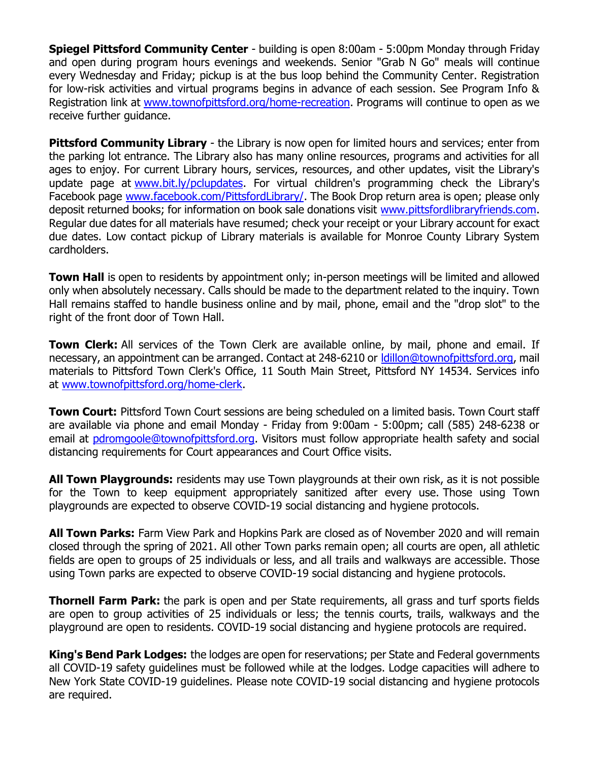**Spiegel Pittsford Community Center** - building is open 8:00am - 5:00pm Monday through Friday and open during program hours evenings and weekends. Senior "Grab N Go" meals will continue every Wednesday and Friday; pickup is at the bus loop behind the Community Center. Registration for low-risk activities and virtual programs begins in advance of each session. See Program Info & Registration link at [www.townofpittsford.org/home-recreation.](http://r20.rs6.net/tn.jsp?f=001UVSw1SU8O87btK36eitaH-lZdzlYUXwdT2x8Ph2oDOSuQAiQTx5rFwrZeSy5AWzPF5L4GCzOJyMPw-DIf-lzPwAp-weItbOxqsecAIbXUiEC-h6yNsdggQYqRrAaWWUnLXifJPnBhKzoaIZjXELRRFkYTVF3Gq9t6h_7aZitTuTd9lt4410FIA==&c=QUmWnDdr8uouVPQQo6LE6Z0iN08MYpDI9ngI0BJcptuOOvUADtLFfg==&ch=ZVAlroS6st7y5fXVgwsvXcBQE9xk-q-7jEsQXKT7k97lQziM9Dh8Iw==) Programs will continue to open as we receive further guidance.

**Pittsford Community Library** - the Library is now open for limited hours and services; enter from the parking lot entrance. The Library also has many online resources, programs and activities for all ages to enjoy. For current Library hours, services, resources, and other updates, visit the Library's update page at [www.bit.ly/pclupdates.](http://r20.rs6.net/tn.jsp?f=001UVSw1SU8O87btK36eitaH-lZdzlYUXwdT2x8Ph2oDOSuQAiQTx5rF1S6n4uhALsiLHlivlnViSFn0j7x8CpfCsAVmBtAx75Y5lpAyE43VDSUQnUxOQAR8TRremKb4C3B3Nf1cuNBds31OIReBfcAMQ==&c=QUmWnDdr8uouVPQQo6LE6Z0iN08MYpDI9ngI0BJcptuOOvUADtLFfg==&ch=ZVAlroS6st7y5fXVgwsvXcBQE9xk-q-7jEsQXKT7k97lQziM9Dh8Iw==) For virtual children's programming check the Library's Facebook page [www.facebook.com/PittsfordLibrary/.](http://r20.rs6.net/tn.jsp?f=001UVSw1SU8O87btK36eitaH-lZdzlYUXwdT2x8Ph2oDOSuQAiQTx5rF_lIjek_NqtrASPrOjufHANoxgziys0txtjayO3fhBvPv5Wta94VPoAI-9YQvFTXaURtXRMRNoIMiiz0vtZBw_dw2QkN0JDmKK1uyy20Cs-dS0x5u7k-kos=&c=QUmWnDdr8uouVPQQo6LE6Z0iN08MYpDI9ngI0BJcptuOOvUADtLFfg==&ch=ZVAlroS6st7y5fXVgwsvXcBQE9xk-q-7jEsQXKT7k97lQziM9Dh8Iw==) The Book Drop return area is open; please only deposit returned books; for information on book sale donations visit [www.pittsfordlibraryfriends.com.](http://r20.rs6.net/tn.jsp?f=001UVSw1SU8O87btK36eitaH-lZdzlYUXwdT2x8Ph2oDOSuQAiQTx5rF41zW59_rSU4Vcw6K5kuMHtH4ZbRByG-ztFGPXurGczFdAn9JAzZTHf4jzBdI8PeBD5S2tEolaWb-an6YD-2RPNG_urYqnzUJaNcU0zkGAOCYrgJCXPYrNY=&c=QUmWnDdr8uouVPQQo6LE6Z0iN08MYpDI9ngI0BJcptuOOvUADtLFfg==&ch=ZVAlroS6st7y5fXVgwsvXcBQE9xk-q-7jEsQXKT7k97lQziM9Dh8Iw==) Regular due dates for all materials have resumed; check your receipt or your Library account for exact due dates. Low contact pickup of Library materials is available for Monroe County Library System cardholders.

**Town Hall** is open to residents by appointment only; in-person meetings will be limited and allowed only when absolutely necessary. Calls should be made to the department related to the inquiry. Town Hall remains staffed to handle business online and by mail, phone, email and the "drop slot" to the right of the front door of Town Hall.

**Town Clerk:** All services of the Town Clerk are available online, by mail, phone and email. If necessary, an appointment can be arranged. Contact at 248-6210 or Idillon@townofpittsford.org, mail materials to Pittsford Town Clerk's Office, 11 South Main Street, Pittsford NY 14534. Services info at [www.townofpittsford.org/home-clerk.](http://r20.rs6.net/tn.jsp?f=001UVSw1SU8O87btK36eitaH-lZdzlYUXwdT2x8Ph2oDOSuQAiQTx5rF4Z6d7JMFN4kVCL9R6WAVzr0bUIyq7XsGsuxWeqeMDVr345solyG69NwAz16qLAncCSTzWKtepoQluN9mObAspq3Rykrloa7KDZzdDq_5sLpnSYk_eIiOvg=&c=QUmWnDdr8uouVPQQo6LE6Z0iN08MYpDI9ngI0BJcptuOOvUADtLFfg==&ch=ZVAlroS6st7y5fXVgwsvXcBQE9xk-q-7jEsQXKT7k97lQziM9Dh8Iw==)

**Town Court:** Pittsford Town Court sessions are being scheduled on a limited basis. Town Court staff are available via phone and email Monday - Friday from 9:00am - 5:00pm; call (585) 248-6238 or email at [pdromgoole@townofpittsford.org.](mailto:pdromgoole@townofpittsford.org) Visitors must follow appropriate health safety and social distancing requirements for Court appearances and Court Office visits.

**All Town Playgrounds:** residents may use Town playgrounds at their own risk, as it is not possible for the Town to keep equipment appropriately sanitized after every use. Those using Town playgrounds are expected to observe COVID-19 social distancing and hygiene protocols.

**All Town Parks:** Farm View Park and Hopkins Park are closed as of November 2020 and will remain closed through the spring of 2021. All other Town parks remain open; all courts are open, all athletic fields are open to groups of 25 individuals or less, and all trails and walkways are accessible. Those using Town parks are expected to observe COVID-19 social distancing and hygiene protocols.

**Thornell Farm Park:** the park is open and per State requirements, all grass and turf sports fields are open to group activities of 25 individuals or less; the tennis courts, trails, walkways and the playground are open to residents. COVID-19 social distancing and hygiene protocols are required.

**King's Bend Park Lodges:** the lodges are open for reservations; per State and Federal governments all COVID-19 safety guidelines must be followed while at the lodges. Lodge capacities will adhere to New York State COVID-19 guidelines. Please note COVID-19 social distancing and hygiene protocols are required.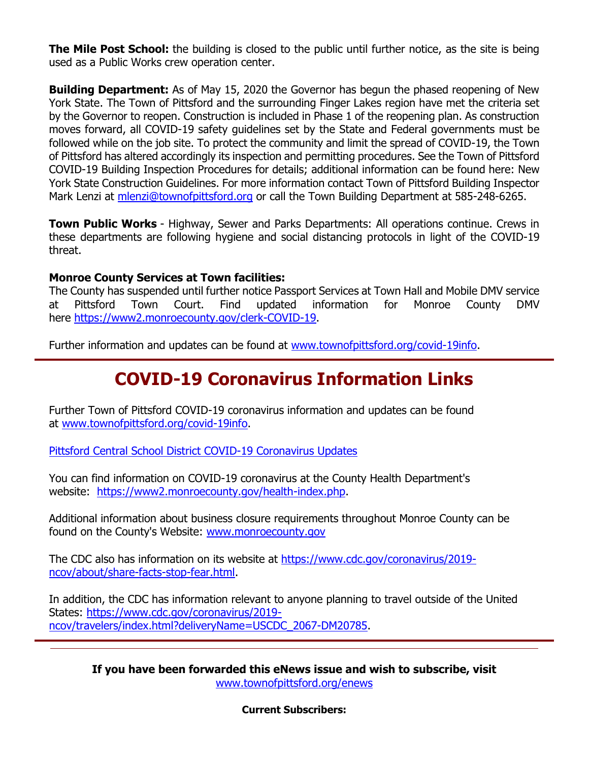**The Mile Post School:** the building is closed to the public until further notice, as the site is being used as a Public Works crew operation center.

**Building Department:** As of May 15, 2020 the Governor has begun the phased reopening of New York State. The Town of Pittsford and the surrounding Finger Lakes region have met the criteria set by the Governor to reopen. Construction is included in Phase 1 of the reopening plan. As construction moves forward, all COVID-19 safety guidelines set by the State and Federal governments must be followed while on the job site. To protect the community and limit the spread of COVID-19, the Town of Pittsford has altered accordingly its inspection and permitting procedures. See the Town of Pittsford COVID-19 Building Inspection Procedures for details; additional information can be found here: New York State Construction Guidelines. For more information contact Town of Pittsford Building Inspector Mark Lenzi at [mlenzi@townofpittsford.org](mailto:mlenzi@townofpittsford.org?subject=COVID-19%20Construciton%20Information) or call the Town Building Department at 585-248-6265.

**Town Public Works** - Highway, Sewer and Parks Departments: All operations continue. Crews in these departments are following hygiene and social distancing protocols in light of the COVID-19 threat.

#### **Monroe County Services at Town facilities:**

The County has suspended until further notice Passport Services at Town Hall and Mobile DMV service at Pittsford Town Court. Find updated information for Monroe County DMV here [https://www2.monroecounty.gov/clerk-COVID-19.](http://r20.rs6.net/tn.jsp?f=001UVSw1SU8O87btK36eitaH-lZdzlYUXwdT2x8Ph2oDOSuQAiQTx5rF06tfZriHr2g5oqlpwMKdE9o4C3gvZosu9peDniNHoEQ6LI1VX0KQnt7CMIQpEAs9UKL2q3JNOgdzTKPhzpYtQfwdaAT1xqh-uf_w9rz9LandM_-4OhONK4=&c=QUmWnDdr8uouVPQQo6LE6Z0iN08MYpDI9ngI0BJcptuOOvUADtLFfg==&ch=ZVAlroS6st7y5fXVgwsvXcBQE9xk-q-7jEsQXKT7k97lQziM9Dh8Iw==)

Further information and updates can be found at [www.townofpittsford.org/covid-19info.](http://r20.rs6.net/tn.jsp?f=001UVSw1SU8O87btK36eitaH-lZdzlYUXwdT2x8Ph2oDOSuQAiQTx5rFzzwvg-Bh4rn4ZQj13UthLV964TeJ-vtLMaT09cUrCGwltSWGFXd79C3ghNVgKP1taBLUrC591u5bpfJHUe9QLt-61ppfyI95olVjNUqViZab2eILsJqliI=&c=QUmWnDdr8uouVPQQo6LE6Z0iN08MYpDI9ngI0BJcptuOOvUADtLFfg==&ch=ZVAlroS6st7y5fXVgwsvXcBQE9xk-q-7jEsQXKT7k97lQziM9Dh8Iw==)

### **COVID-19 Coronavirus Information Links**

Further Town of Pittsford COVID-19 coronavirus information and updates can be found at [www.townofpittsford.org/covid-19info.](http://r20.rs6.net/tn.jsp?f=001UVSw1SU8O87btK36eitaH-lZdzlYUXwdT2x8Ph2oDOSuQAiQTx5rFzzwvg-Bh4rn4ZQj13UthLV964TeJ-vtLMaT09cUrCGwltSWGFXd79C3ghNVgKP1taBLUrC591u5bpfJHUe9QLt-61ppfyI95olVjNUqViZab2eILsJqliI=&c=QUmWnDdr8uouVPQQo6LE6Z0iN08MYpDI9ngI0BJcptuOOvUADtLFfg==&ch=ZVAlroS6st7y5fXVgwsvXcBQE9xk-q-7jEsQXKT7k97lQziM9Dh8Iw==)

[Pittsford Central School District COVID-19 Coronavirus Updates](http://r20.rs6.net/tn.jsp?f=001UVSw1SU8O87btK36eitaH-lZdzlYUXwdT2x8Ph2oDOSuQAiQTx5rF_lIjek_NqtrtcEJnU5qniUI4qM4w4CVD-KrbadLJkkEAB98iIk9yLayjEqFa3E7Q_tMWYA99n4x43BjiPNVb9VI5URLDDDy9_kPwas0BS3bypa3P1fejravgpPmJWSPIQ==&c=QUmWnDdr8uouVPQQo6LE6Z0iN08MYpDI9ngI0BJcptuOOvUADtLFfg==&ch=ZVAlroS6st7y5fXVgwsvXcBQE9xk-q-7jEsQXKT7k97lQziM9Dh8Iw==)

You can find information on COVID-19 coronavirus at the County Health Department's website: [https://www2.monroecounty.gov/health-index.php.](http://r20.rs6.net/tn.jsp?f=001UVSw1SU8O87btK36eitaH-lZdzlYUXwdT2x8Ph2oDOSuQAiQTx5rF_G7iKS88if-NNPbm9gwE4PsFKlb7pBAxdebHVTP7O3To9R3z9Kism4rw6chTbHq6gdW23DZis8EtMSdMBteR3C1Fa2v3YoRoIYws4EXJtDQUhPYftfxyVnhg-YP67ZYIw==&c=QUmWnDdr8uouVPQQo6LE6Z0iN08MYpDI9ngI0BJcptuOOvUADtLFfg==&ch=ZVAlroS6st7y5fXVgwsvXcBQE9xk-q-7jEsQXKT7k97lQziM9Dh8Iw==)

Additional information about business closure requirements throughout Monroe County can be found on the County's Website: [www.monroecounty.gov](http://r20.rs6.net/tn.jsp?f=001UVSw1SU8O87btK36eitaH-lZdzlYUXwdT2x8Ph2oDOSuQAiQTx5rF-S-AtVUzc1WAOqpYGJngpKyUzBPLfENoxuGRR9j_i9o9Tii2jlIuUx_gvujVb8HB1c23hNfM9PuKS7idGgteeWKwhrh4KAVtg==&c=QUmWnDdr8uouVPQQo6LE6Z0iN08MYpDI9ngI0BJcptuOOvUADtLFfg==&ch=ZVAlroS6st7y5fXVgwsvXcBQE9xk-q-7jEsQXKT7k97lQziM9Dh8Iw==)

The CDC also has information on its website at [https://www.cdc.gov/coronavirus/2019](http://r20.rs6.net/tn.jsp?f=001UVSw1SU8O87btK36eitaH-lZdzlYUXwdT2x8Ph2oDOSuQAiQTx5rF_G7iKS88if-tUKnvnHJxq3F_ar8K6jNXEOHRqwRc7iC5GnSjZXXOS61OHnB2JukL675IcWP6a8klWhK8_E_Wz260ly7fd7TWsQB0o5HzoWPiQbY-tWoLontvwsPgYYwZJXeyTifzgkH8g1NMEXzVQHWhOZSyCyr1W6830EpH9s0&c=QUmWnDdr8uouVPQQo6LE6Z0iN08MYpDI9ngI0BJcptuOOvUADtLFfg==&ch=ZVAlroS6st7y5fXVgwsvXcBQE9xk-q-7jEsQXKT7k97lQziM9Dh8Iw==) [ncov/about/share-facts-stop-fear.html.](http://r20.rs6.net/tn.jsp?f=001UVSw1SU8O87btK36eitaH-lZdzlYUXwdT2x8Ph2oDOSuQAiQTx5rF_G7iKS88if-tUKnvnHJxq3F_ar8K6jNXEOHRqwRc7iC5GnSjZXXOS61OHnB2JukL675IcWP6a8klWhK8_E_Wz260ly7fd7TWsQB0o5HzoWPiQbY-tWoLontvwsPgYYwZJXeyTifzgkH8g1NMEXzVQHWhOZSyCyr1W6830EpH9s0&c=QUmWnDdr8uouVPQQo6LE6Z0iN08MYpDI9ngI0BJcptuOOvUADtLFfg==&ch=ZVAlroS6st7y5fXVgwsvXcBQE9xk-q-7jEsQXKT7k97lQziM9Dh8Iw==)

In addition, the CDC has information relevant to anyone planning to travel outside of the United States: [https://www.cdc.gov/coronavirus/2019](http://r20.rs6.net/tn.jsp?f=001UVSw1SU8O87btK36eitaH-lZdzlYUXwdT2x8Ph2oDOSuQAiQTx5rF_G7iKS88if-t6DqrzsSm-EfJnCzYayYygJ7EWdR-tQ1uyMtCOll5uGL-G3w8zhUDfPTxn-7wUA-XtwnubzVw_A3SlX9lH6tnqrQ006DbfyweZ6OnSK6ARO4pCy_mzscNSyTRsDue7ArisSAuxiZdY30lkiCY9HFCUeY6uYhfGsv2Q2z3ojFIYQTGKlkZez0QAMos-aa7raO&c=QUmWnDdr8uouVPQQo6LE6Z0iN08MYpDI9ngI0BJcptuOOvUADtLFfg==&ch=ZVAlroS6st7y5fXVgwsvXcBQE9xk-q-7jEsQXKT7k97lQziM9Dh8Iw==) [ncov/travelers/index.html?deliveryName=USCDC\\_2067-DM20785.](http://r20.rs6.net/tn.jsp?f=001UVSw1SU8O87btK36eitaH-lZdzlYUXwdT2x8Ph2oDOSuQAiQTx5rF_G7iKS88if-t6DqrzsSm-EfJnCzYayYygJ7EWdR-tQ1uyMtCOll5uGL-G3w8zhUDfPTxn-7wUA-XtwnubzVw_A3SlX9lH6tnqrQ006DbfyweZ6OnSK6ARO4pCy_mzscNSyTRsDue7ArisSAuxiZdY30lkiCY9HFCUeY6uYhfGsv2Q2z3ojFIYQTGKlkZez0QAMos-aa7raO&c=QUmWnDdr8uouVPQQo6LE6Z0iN08MYpDI9ngI0BJcptuOOvUADtLFfg==&ch=ZVAlroS6st7y5fXVgwsvXcBQE9xk-q-7jEsQXKT7k97lQziM9Dh8Iw==)

**If you have been forwarded this eNews issue and wish to subscribe, visit** [www.townofpittsford.org/enews](http://r20.rs6.net/tn.jsp?f=001UVSw1SU8O87btK36eitaH-lZdzlYUXwdT2x8Ph2oDOSuQAiQTx5rFxu4ZlFA33JzH9Z11jbb3AxaogwTpTY1OpEAXrjGwu_7lkSASXUUVCqiqGhy2krsvatS6ddizluJukENd-auEn6RRmMtvGpjdIYxlVdeocR_&c=QUmWnDdr8uouVPQQo6LE6Z0iN08MYpDI9ngI0BJcptuOOvUADtLFfg==&ch=ZVAlroS6st7y5fXVgwsvXcBQE9xk-q-7jEsQXKT7k97lQziM9Dh8Iw==)

**Current Subscribers:**